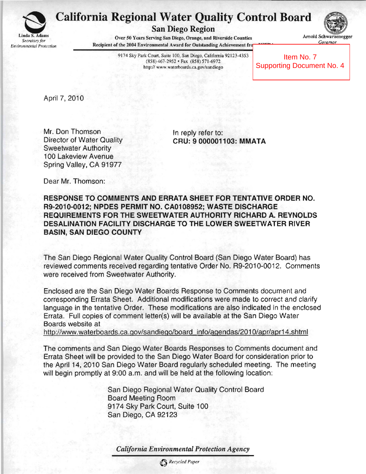

## California Regional Water Quality Control Board

**San Diego RegIOn** . . '.

*Governor Softens* Serving San Diego, Orange, and Riverside Counties *Arnold Schwarze*<br>*Governor Secretary for Recipient* of the 2004 Environmental Award for Outstanding Achievement from *Covernor* Recipient of the 2004 Environmental Award for Outstanding Achievement fro

Arnold Schwa

9174 Sky Park Court, Suite 100, San Diego, California 92123-4353 (858) 467·2952 • Fax (8S8) 571 -6972 http:// wv.w.waterboards.ca.gov/sandiego

 Item No. 7 Supporting Document No. 4

April 7,2010

Mr. Don Thomson Director of Water Quality Sweetwater Authority 100 Lakeview Avenue Spring Valley, CA 91977

In reply refer to: **CRU: 9000001103: MMATA** 

Dear Mr. Thomson:

**RESPONSE TO COMMENTS AND ERRATA SHEET FOR TENTATIVE ORDER NO. R9-2010-0012; NPDES PERMIT NO. CA0108952; WASTE DISCHARGE REQUIREMENTS** FOR THE **SWEETWATER AUTHORITY RICHARD A. REYNOLDS DESALINATION FACILITY DISCHARGE TO THE LOWER SWEETWATER RIVER BASIN, SAN DIEGO COUNTY** 

The San Diego Regional Water Quality Control Board (San Diego Water Board) has reviewed comments received regarding tentative Order No. R9-2010-0012. Comments were received from Sweetwater Authority.

Enclosed are the San Diego Water Boards Response to Comments document and corresponding Errata Sheet. Additional modifications were made to correct and clarify language in the tentative Order. These modifications are also indicated in the enclosed Errata. Full copies of comment letter(s) will be available at the San Diego Water Boards website at

http://www.waterboards.ca.gov/sandiego/board info/agendas/2010/apr/apr14.shtml

The comments and San Diego Water Boards Responses to Comments document and Errata Sheet will be provided to the San Diego Water Board for consideration prior to the April 14,2010 San Diego Water Board regularly scheduled meeting. The meeting will begin promptly at 9:00 a.m. and will be held at the following location:

> San Diego Regional Water Quality Control Board Board Meeting Room 9174 Sky Park Court, Suite 100 San Diego, CA 92123

*Califomia Environmental Protection Agency*